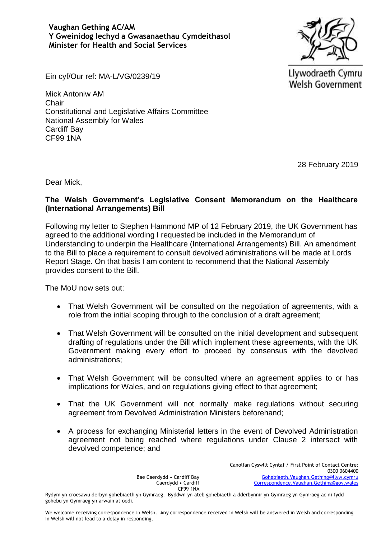**Vaughan Gething AC/AM Y Gweinidog Iechyd a Gwasanaethau Cymdeithasol Minister for Health and Social Services**



Llywodraeth Cymru **Welsh Government** 

Ein cyf/Our ref: MA-L/VG/0239/19

Mick Antoniw AM Chair Constitutional and Legislative Affairs Committee National Assembly for Wales Cardiff Bay CF99 1NA

28 February 2019

Dear Mick,

## **The Welsh Government's Legislative Consent Memorandum on the Healthcare (International Arrangements) Bill**

Following my letter to Stephen Hammond MP of 12 February 2019, the UK Government has agreed to the additional wording I requested be included in the Memorandum of Understanding to underpin the Healthcare (International Arrangements) Bill. An amendment to the Bill to place a requirement to consult devolved administrations will be made at Lords Report Stage. On that basis I am content to recommend that the National Assembly provides consent to the Bill.

The MoU now sets out:

- That Welsh Government will be consulted on the negotiation of agreements, with a role from the initial scoping through to the conclusion of a draft agreement;
- That Welsh Government will be consulted on the initial development and subsequent drafting of regulations under the Bill which implement these agreements, with the UK Government making every effort to proceed by consensus with the devolved administrations;
- That Welsh Government will be consulted where an agreement applies to or has implications for Wales, and on regulations giving effect to that agreement;
- That the UK Government will not normally make regulations without securing agreement from Devolved Administration Ministers beforehand;
- A process for exchanging Ministerial letters in the event of Devolved Administration agreement not being reached where regulations under Clause 2 intersect with devolved competence; and

Bae Caerdydd • Cardiff Bay Caerdydd • Cardiff CF99 1NA Canolfan Cyswllt Cyntaf / First Point of Contact Centre: 0300 0604400 [Gohebiaeth.Vaughan.Gething@llyw.cymru](mailto:Gohebiaeth.Vaughan.Gething@llyw.cymru) [Correspondence.Vaughan.Gething@gov.wales](mailto:Correspondence.Vaughan.Gething@gov.wales)

Rydym yn croesawu derbyn gohebiaeth yn Gymraeg. Byddwn yn ateb gohebiaeth a dderbynnir yn Gymraeg yn Gymraeg ac ni fydd gohebu yn Gymraeg yn arwain at oedi.